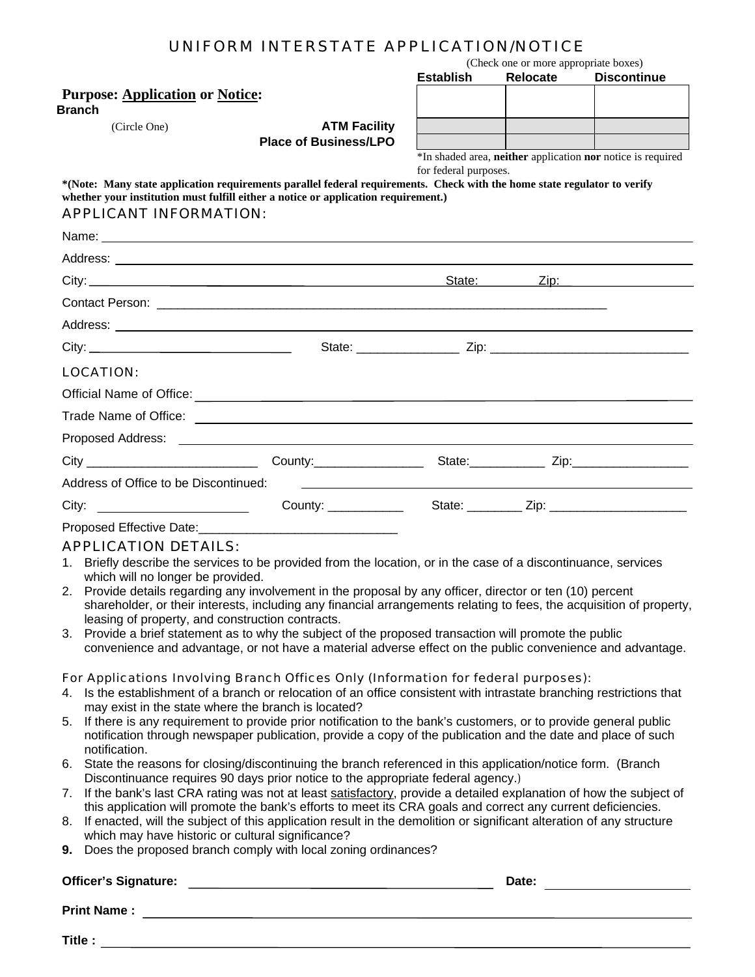|          |                                                     | UNIFORM INTERSTATE APPLICATION/NOTICE                                                                                                                                                                               |                                                                                                                                                                                                       |                                                   |                                                             |  |  |  |
|----------|-----------------------------------------------------|---------------------------------------------------------------------------------------------------------------------------------------------------------------------------------------------------------------------|-------------------------------------------------------------------------------------------------------------------------------------------------------------------------------------------------------|---------------------------------------------------|-------------------------------------------------------------|--|--|--|
|          |                                                     |                                                                                                                                                                                                                     | <b>Establish</b>                                                                                                                                                                                      | (Check one or more appropriate boxes)<br>Relocate | <b>Discontinue</b>                                          |  |  |  |
|          | <b>Purpose: Application or Notice:</b>              |                                                                                                                                                                                                                     |                                                                                                                                                                                                       |                                                   |                                                             |  |  |  |
|          | <b>Branch</b>                                       |                                                                                                                                                                                                                     |                                                                                                                                                                                                       |                                                   |                                                             |  |  |  |
|          | (Circle One)                                        | <b>ATM Facility</b><br><b>Place of Business/LPO</b>                                                                                                                                                                 |                                                                                                                                                                                                       |                                                   |                                                             |  |  |  |
|          |                                                     |                                                                                                                                                                                                                     |                                                                                                                                                                                                       |                                                   | *In shaded area, neither application nor notice is required |  |  |  |
|          |                                                     |                                                                                                                                                                                                                     | for federal purposes.                                                                                                                                                                                 |                                                   |                                                             |  |  |  |
|          |                                                     | *(Note: Many state application requirements parallel federal requirements. Check with the home state regulator to verify<br>whether your institution must fulfill either a notice or application requirement.)      |                                                                                                                                                                                                       |                                                   |                                                             |  |  |  |
|          | <b>APPLICANT INFORMATION:</b>                       |                                                                                                                                                                                                                     |                                                                                                                                                                                                       |                                                   |                                                             |  |  |  |
|          |                                                     |                                                                                                                                                                                                                     |                                                                                                                                                                                                       |                                                   |                                                             |  |  |  |
|          |                                                     |                                                                                                                                                                                                                     |                                                                                                                                                                                                       |                                                   |                                                             |  |  |  |
|          |                                                     |                                                                                                                                                                                                                     |                                                                                                                                                                                                       |                                                   |                                                             |  |  |  |
|          |                                                     |                                                                                                                                                                                                                     |                                                                                                                                                                                                       |                                                   |                                                             |  |  |  |
|          |                                                     |                                                                                                                                                                                                                     |                                                                                                                                                                                                       |                                                   |                                                             |  |  |  |
|          |                                                     |                                                                                                                                                                                                                     |                                                                                                                                                                                                       |                                                   |                                                             |  |  |  |
|          |                                                     |                                                                                                                                                                                                                     |                                                                                                                                                                                                       |                                                   |                                                             |  |  |  |
|          | LOCATION:                                           |                                                                                                                                                                                                                     |                                                                                                                                                                                                       |                                                   |                                                             |  |  |  |
|          |                                                     |                                                                                                                                                                                                                     |                                                                                                                                                                                                       |                                                   |                                                             |  |  |  |
|          |                                                     |                                                                                                                                                                                                                     |                                                                                                                                                                                                       |                                                   |                                                             |  |  |  |
|          |                                                     |                                                                                                                                                                                                                     |                                                                                                                                                                                                       |                                                   |                                                             |  |  |  |
|          |                                                     |                                                                                                                                                                                                                     |                                                                                                                                                                                                       |                                                   |                                                             |  |  |  |
|          | Address of Office to be Discontinued:               | <u> 1989 - Andrea Santa Andrea Santa Andrea Santa Andrea Santa Andrea Santa Andrea Santa Andrea Santa Andrea San</u>                                                                                                |                                                                                                                                                                                                       |                                                   |                                                             |  |  |  |
|          |                                                     |                                                                                                                                                                                                                     |                                                                                                                                                                                                       |                                                   |                                                             |  |  |  |
|          |                                                     |                                                                                                                                                                                                                     |                                                                                                                                                                                                       |                                                   |                                                             |  |  |  |
|          | <b>APPLICATION DETAILS:</b>                         |                                                                                                                                                                                                                     |                                                                                                                                                                                                       |                                                   |                                                             |  |  |  |
| 1.       |                                                     | Briefly describe the services to be provided from the location, or in the case of a discontinuance, services                                                                                                        |                                                                                                                                                                                                       |                                                   |                                                             |  |  |  |
|          | which will no longer be provided.                   | 2. Provide details regarding any involvement in the proposal by any officer, director or ten (10) percent                                                                                                           |                                                                                                                                                                                                       |                                                   |                                                             |  |  |  |
|          |                                                     | shareholder, or their interests, including any financial arrangements relating to fees, the acquisition of property,                                                                                                |                                                                                                                                                                                                       |                                                   |                                                             |  |  |  |
|          | leasing of property, and construction contracts.    |                                                                                                                                                                                                                     |                                                                                                                                                                                                       |                                                   |                                                             |  |  |  |
|          |                                                     | 3. Provide a brief statement as to why the subject of the proposed transaction will promote the public<br>convenience and advantage, or not have a material adverse effect on the public convenience and advantage. |                                                                                                                                                                                                       |                                                   |                                                             |  |  |  |
|          |                                                     |                                                                                                                                                                                                                     |                                                                                                                                                                                                       |                                                   |                                                             |  |  |  |
|          |                                                     | For Applications Involving Branch Offices Only (Information for federal purposes):                                                                                                                                  |                                                                                                                                                                                                       |                                                   |                                                             |  |  |  |
|          | may exist in the state where the branch is located? | 4. Is the establishment of a branch or relocation of an office consistent with intrastate branching restrictions that                                                                                               |                                                                                                                                                                                                       |                                                   |                                                             |  |  |  |
| 5.       |                                                     | If there is any requirement to provide prior notification to the bank's customers, or to provide general public                                                                                                     |                                                                                                                                                                                                       |                                                   |                                                             |  |  |  |
|          |                                                     | notification through newspaper publication, provide a copy of the publication and the date and place of such                                                                                                        |                                                                                                                                                                                                       |                                                   |                                                             |  |  |  |
|          | notification.                                       | 6. State the reasons for closing/discontinuing the branch referenced in this application/notice form. (Branch                                                                                                       |                                                                                                                                                                                                       |                                                   |                                                             |  |  |  |
|          |                                                     |                                                                                                                                                                                                                     |                                                                                                                                                                                                       |                                                   |                                                             |  |  |  |
|          |                                                     |                                                                                                                                                                                                                     | Discontinuance requires 90 days prior notice to the appropriate federal agency.)<br>If the bank's last CRA rating was not at least satisfactory, provide a detailed explanation of how the subject of |                                                   |                                                             |  |  |  |
|          |                                                     |                                                                                                                                                                                                                     |                                                                                                                                                                                                       |                                                   |                                                             |  |  |  |
|          |                                                     | this application will promote the bank's efforts to meet its CRA goals and correct any current deficiencies.                                                                                                        |                                                                                                                                                                                                       |                                                   |                                                             |  |  |  |
|          | which may have historic or cultural significance?   | If enacted, will the subject of this application result in the demolition or significant alteration of any structure                                                                                                |                                                                                                                                                                                                       |                                                   |                                                             |  |  |  |
|          |                                                     | 9. Does the proposed branch comply with local zoning ordinances?                                                                                                                                                    |                                                                                                                                                                                                       |                                                   |                                                             |  |  |  |
| 7.<br>8. | <b>Officer's Signature:</b>                         |                                                                                                                                                                                                                     |                                                                                                                                                                                                       | Date:                                             |                                                             |  |  |  |

**Title :**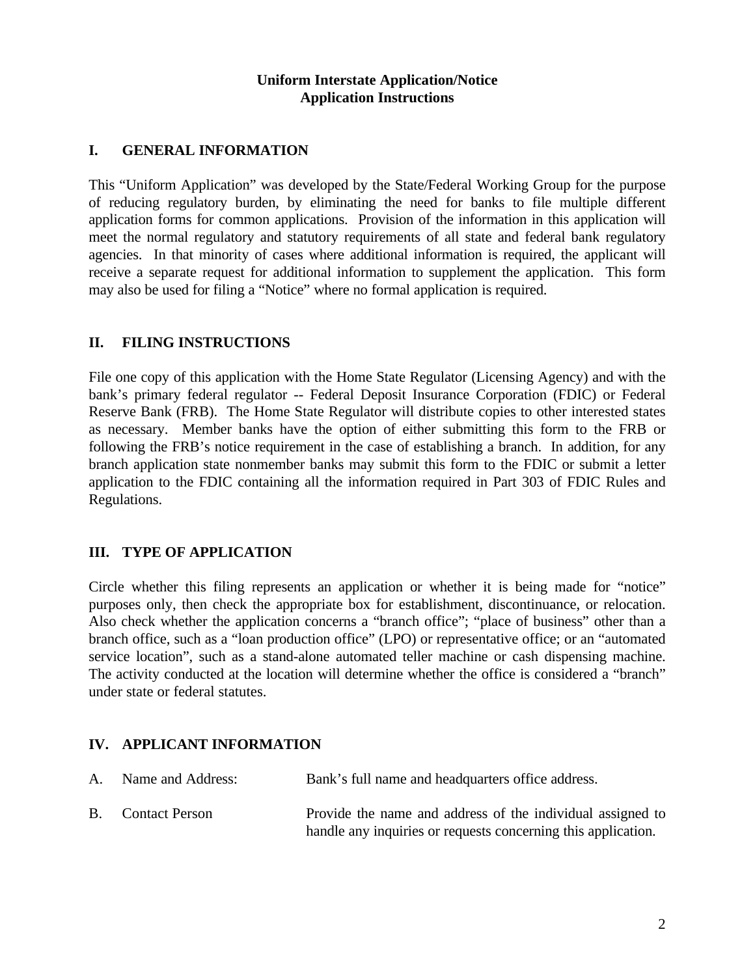#### **Uniform Interstate Application/Notice Application Instructions**

### **I. GENERAL INFORMATION**

This "Uniform Application" was developed by the State/Federal Working Group for the purpose of reducing regulatory burden, by eliminating the need for banks to file multiple different application forms for common applications. Provision of the information in this application will meet the normal regulatory and statutory requirements of all state and federal bank regulatory agencies. In that minority of cases where additional information is required, the applicant will receive a separate request for additional information to supplement the application. This form may also be used for filing a "Notice" where no formal application is required.

### **II. FILING INSTRUCTIONS**

File one copy of this application with the Home State Regulator (Licensing Agency) and with the bank's primary federal regulator -- Federal Deposit Insurance Corporation (FDIC) or Federal Reserve Bank (FRB). The Home State Regulator will distribute copies to other interested states as necessary. Member banks have the option of either submitting this form to the FRB or following the FRB's notice requirement in the case of establishing a branch. In addition, for any branch application state nonmember banks may submit this form to the FDIC or submit a letter application to the FDIC containing all the information required in Part 303 of FDIC Rules and Regulations.

# **III. TYPE OF APPLICATION**

Circle whether this filing represents an application or whether it is being made for "notice" purposes only, then check the appropriate box for establishment, discontinuance, or relocation. Also check whether the application concerns a "branch office"; "place of business" other than a branch office, such as a "loan production office" (LPO) or representative office; or an "automated service location", such as a stand-alone automated teller machine or cash dispensing machine. The activity conducted at the location will determine whether the office is considered a "branch" under state or federal statutes.

### **IV. APPLICANT INFORMATION**

| A. Name and Address:     | Bank's full name and headquarters office address.                                                                           |
|--------------------------|-----------------------------------------------------------------------------------------------------------------------------|
| <b>B.</b> Contact Person | Provide the name and address of the individual assigned to<br>handle any inquiries or requests concerning this application. |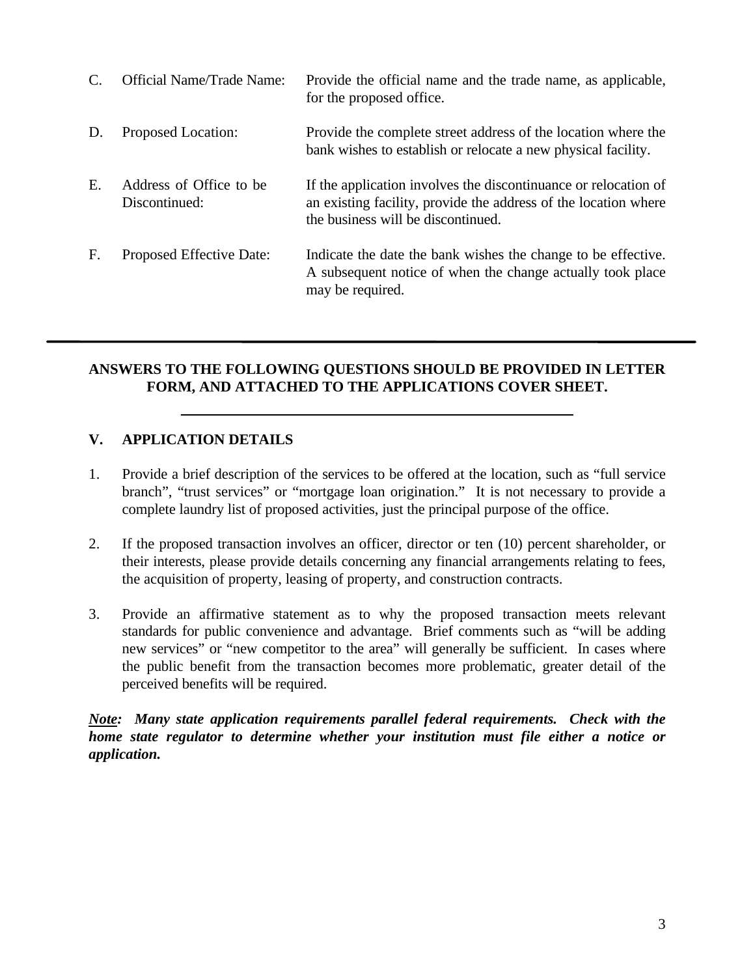|    | <b>Official Name/Trade Name:</b>         | Provide the official name and the trade name, as applicable,<br>for the proposed office.                                                                                 |
|----|------------------------------------------|--------------------------------------------------------------------------------------------------------------------------------------------------------------------------|
| D. | Proposed Location:                       | Provide the complete street address of the location where the<br>bank wishes to establish or relocate a new physical facility.                                           |
| E. | Address of Office to be<br>Discontinued: | If the application involves the discontinuance or relocation of<br>an existing facility, provide the address of the location where<br>the business will be discontinued. |
| F. | Proposed Effective Date:                 | Indicate the date the bank wishes the change to be effective.<br>A subsequent notice of when the change actually took place<br>may be required.                          |

## **ANSWERS TO THE FOLLOWING QUESTIONS SHOULD BE PROVIDED IN LETTER FORM, AND ATTACHED TO THE APPLICATIONS COVER SHEET.**

## **V. APPLICATION DETAILS**

- 1. Provide a brief description of the services to be offered at the location, such as "full service branch", "trust services" or "mortgage loan origination." It is not necessary to provide a complete laundry list of proposed activities, just the principal purpose of the office.
- 2. If the proposed transaction involves an officer, director or ten (10) percent shareholder, or their interests, please provide details concerning any financial arrangements relating to fees, the acquisition of property, leasing of property, and construction contracts.
- 3. Provide an affirmative statement as to why the proposed transaction meets relevant standards for public convenience and advantage. Brief comments such as "will be adding new services" or "new competitor to the area" will generally be sufficient. In cases where the public benefit from the transaction becomes more problematic, greater detail of the perceived benefits will be required.

*Note: Many state application requirements parallel federal requirements. Check with the home state regulator to determine whether your institution must file either a notice or application.*